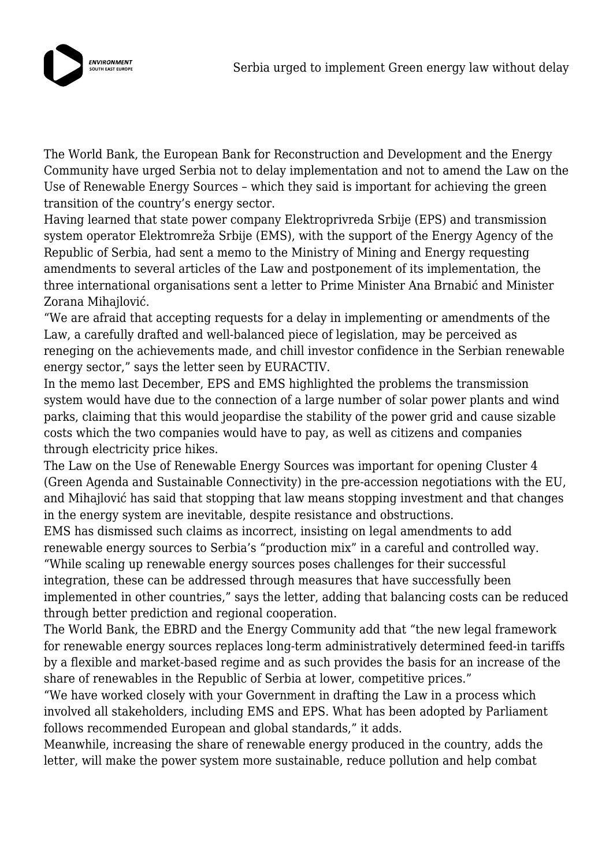

The World Bank, the European Bank for Reconstruction and Development and the Energy Community have urged Serbia not to delay implementation and not to amend the Law on the Use of Renewable Energy Sources – which they said is important for achieving the green transition of the country's energy sector.

Having learned that state power company Elektroprivreda Srbije (EPS) and transmission system operator Elektromreža Srbije (EMS), with the support of the Energy Agency of the Republic of Serbia, had sent a memo to the Ministry of Mining and Energy requesting amendments to several articles of the Law and postponement of its implementation, the three international organisations sent a letter to Prime Minister Ana Brnabić and Minister Zorana Mihajlović.

"We are afraid that accepting requests for a delay in implementing or amendments of the Law, a carefully drafted and well-balanced piece of legislation, may be perceived as reneging on the achievements made, and chill investor confidence in the Serbian renewable energy sector," says the letter seen by EURACTIV.

In the memo last December, EPS and EMS highlighted the problems the transmission system would have due to the connection of a large number of solar power plants and wind parks, claiming that this would jeopardise the stability of the power grid and cause sizable costs which the two companies would have to pay, as well as citizens and companies through electricity price hikes.

The Law on the Use of Renewable Energy Sources was important for opening Cluster 4 (Green Agenda and Sustainable Connectivity) in the pre-accession negotiations with the EU, and Mihajlović has said that stopping that law means stopping investment and that changes in the energy system are inevitable, despite resistance and obstructions.

EMS has dismissed such claims as incorrect, insisting on legal amendments to add renewable energy sources to Serbia's "production mix" in a careful and controlled way.

"While scaling up renewable energy sources poses challenges for their successful integration, these can be addressed through measures that have successfully been implemented in other countries," says the letter, adding that balancing costs can be reduced through better prediction and regional cooperation.

The World Bank, the EBRD and the Energy Community add that "the new legal framework for renewable energy sources replaces long-term administratively determined feed-in tariffs by a flexible and market-based regime and as such provides the basis for an increase of the share of renewables in the Republic of Serbia at lower, competitive prices."

"We have worked closely with your Government in drafting the Law in a process which involved all stakeholders, including EMS and EPS. What has been adopted by Parliament follows recommended European and global standards," it adds.

Meanwhile, increasing the share of renewable energy produced in the country, adds the letter, will make the power system more sustainable, reduce pollution and help combat